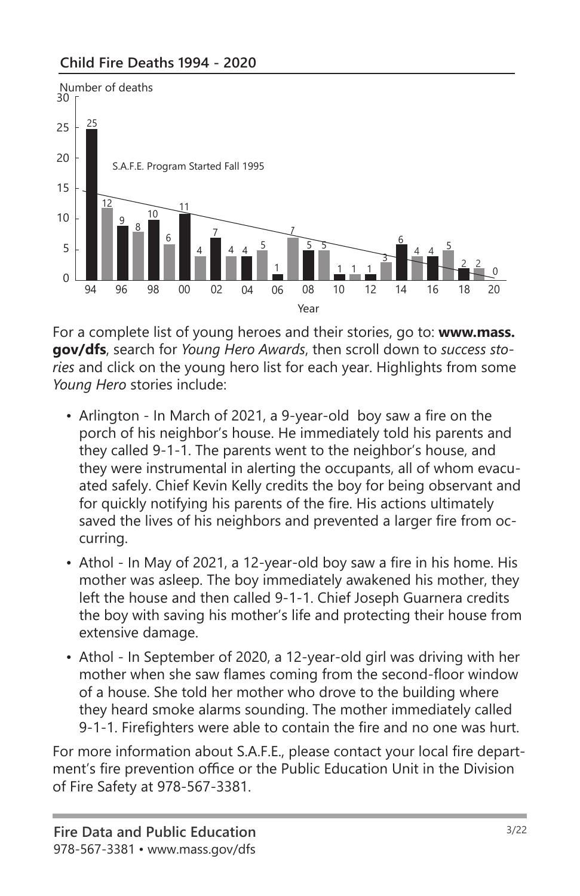#### **Child Fire Deaths 1994 - 2020**



For a complete list of young heroes and their stories, go to: **www.mass. gov/dfs**, search for *Young Hero Awards*, then scroll down to *success stories* and click on the young hero list for each year. Highlights from some *Young Hero* stories include:

- Arlington In March of 2021, a 9-year-old boy saw a fire on the porch of his neighbor's house. He immediately told his parents and they called 9-1-1. The parents went to the neighbor's house, and they were instrumental in alerting the occupants, all of whom evacuated safely. Chief Kevin Kelly credits the boy for being observant and for quickly notifying his parents of the fire. His actions ultimately saved the lives of his neighbors and prevented a larger fire from occurring.
- Athol In May of 2021, a 12-year-old boy saw a fire in his home. His mother was asleep. The boy immediately awakened his mother, they left the house and then called 9-1-1. Chief Joseph Guarnera credits the boy with saving his mother's life and protecting their house from extensive damage.
- Athol In September of 2020, a 12-year-old girl was driving with her mother when she saw flames coming from the second-floor window of a house. She told her mother who drove to the building where they heard smoke alarms sounding. The mother immediately called 9-1-1. Firefighters were able to contain the fire and no one was hurt.

For more information about S.A.F.E., please contact your local fire department's fire prevention office or the Public Education Unit in the Division of Fire Safety at 978-567-3381.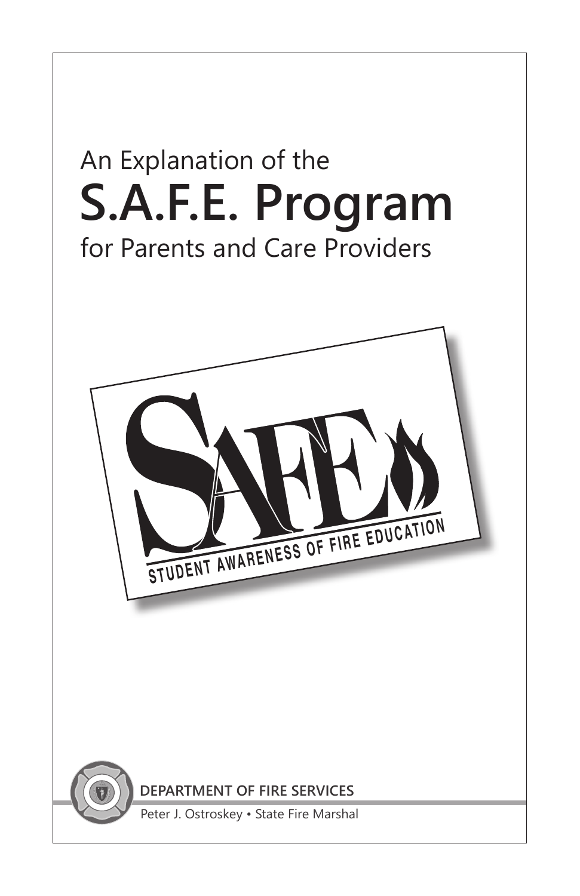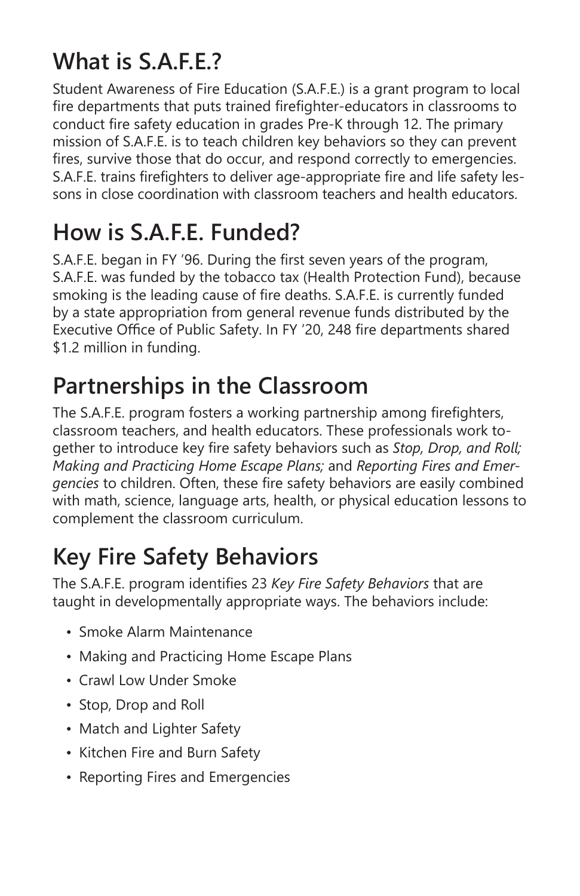## **What is S.A.F.E.?**

Student Awareness of Fire Education (S.A.F.E.) is a grant program to local fire departments that puts trained firefighter-educators in classrooms to conduct fire safety education in grades Pre-K through 12. The primary mission of S.A.F.E. is to teach children key behaviors so they can prevent fires, survive those that do occur, and respond correctly to emergencies. S.A.F.E. trains firefighters to deliver age-appropriate fire and life safety lessons in close coordination with classroom teachers and health educators.

## **How is S.A.F.E. Funded?**

S.A.F.E. began in FY '96. During the first seven years of the program, S.A.F.E. was funded by the tobacco tax (Health Protection Fund), because smoking is the leading cause of fire deaths. S.A.F.E. is currently funded by a state appropriation from general revenue funds distributed by the Executive Office of Public Safety. In FY '20, 248 fire departments shared \$1.2 million in funding.

## **Partnerships in the Classroom**

The S.A.F.E. program fosters a working partnership among firefighters, classroom teachers, and health educators. These professionals work together to introduce key fire safety behaviors such as *Stop, Drop, and Roll; Making and Practicing Home Escape Plans;* and *Reporting Fires and Emergencies* to children. Often, these fire safety behaviors are easily combined with math, science, language arts, health, or physical education lessons to complement the classroom curriculum.

# **Key Fire Safety Behaviors**

The S.A.F.E. program identifies 23 *Key Fire Safety Behaviors* that are taught in developmentally appropriate ways. The behaviors include:

- Smoke Alarm Maintenance
- Making and Practicing Home Escape Plans
- Crawl Low Under Smoke
- Stop, Drop and Roll
- Match and Lighter Safety
- Kitchen Fire and Burn Safety
- Reporting Fires and Emergencies